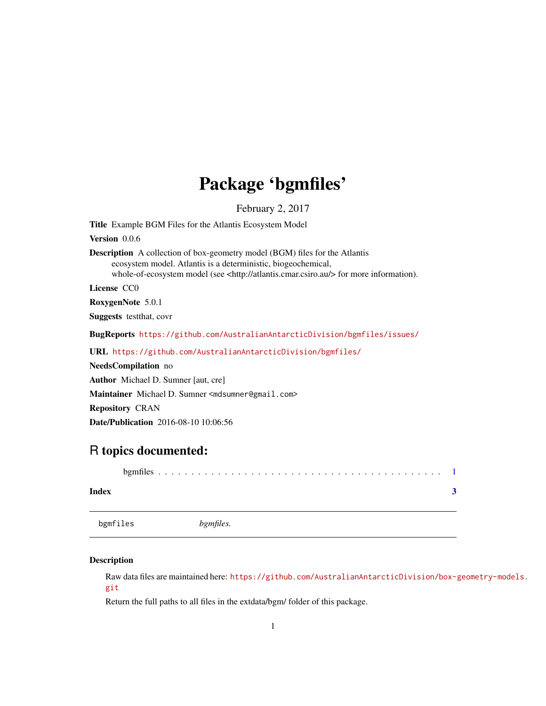## <span id="page-0-0"></span>Package 'bgmfiles'

February 2, 2017

<span id="page-0-1"></span>Title Example BGM Files for the Atlantis Ecosystem Model Version 0.0.6 Description A collection of box-geometry model (BGM) files for the Atlantis ecosystem model. Atlantis is a deterministic, biogeochemical, whole-of-ecosystem model (see <http://atlantis.cmar.csiro.au/> for more information). License CC0 RoxygenNote 5.0.1 Suggests testthat, covr BugReports <https://github.com/AustralianAntarcticDivision/bgmfiles/issues/> URL <https://github.com/AustralianAntarcticDivision/bgmfiles/> NeedsCompilation no Author Michael D. Sumner [aut, cre] Maintainer Michael D. Sumner <mdsumner@gmail.com> Repository CRAN Date/Publication 2016-08-10 10:06:56

### R topics documented:

| Index    |  |                  |  |  |  |  |  |  |  |  |  |  |  |  |
|----------|--|------------------|--|--|--|--|--|--|--|--|--|--|--|--|
| bgmfiles |  | <i>bgmfiles.</i> |  |  |  |  |  |  |  |  |  |  |  |  |

#### Description

Raw data files are maintained here: [https://github.com/AustralianAntarcticDivision/box-g](https://github.com/AustralianAntarcticDivision/box-geometry-models.git)eometry-models. [git](https://github.com/AustralianAntarcticDivision/box-geometry-models.git)

Return the full paths to all files in the extdata/bgm/ folder of this package.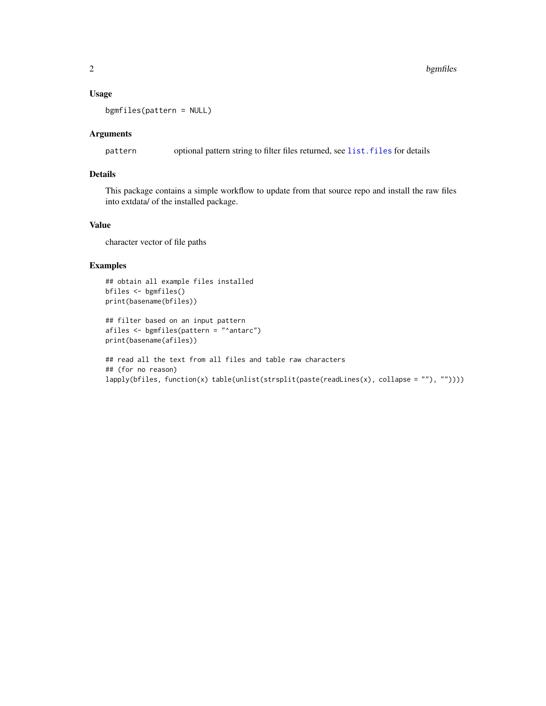#### <span id="page-1-0"></span>Usage

bgmfiles(pattern = NULL)

#### Arguments

pattern optional pattern string to filter files returned, see [list.files](#page-0-1) for details

#### Details

This package contains a simple workflow to update from that source repo and install the raw files into extdata/ of the installed package.

#### Value

character vector of file paths

#### Examples

```
## obtain all example files installed
bfiles <- bgmfiles()
print(basename(bfiles))
```

```
## filter based on an input pattern
afiles <- bgmfiles(pattern = "^antarc")
print(basename(afiles))
```

```
## read all the text from all files and table raw characters
## (for no reason)
lapply(bfiles, function(x) table(unlist(strsplit(paste(readLines(x), collapse = ""), ""))))
```